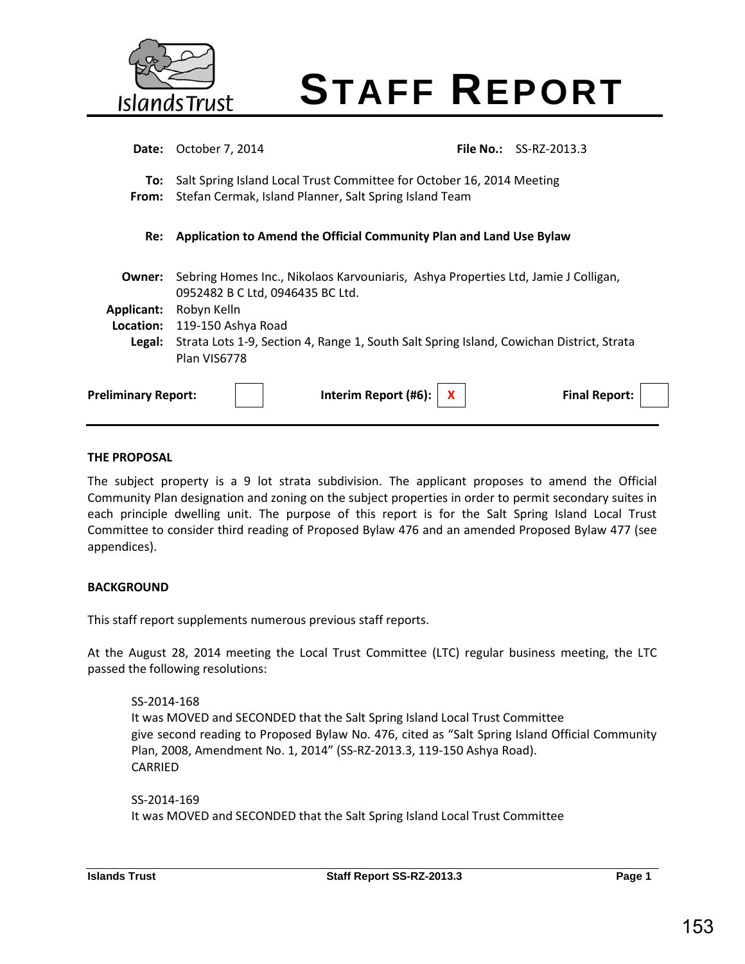

# **STAFF REPORT**

| Date:                      | October 7, 2014                                                                                                                 | <b>File No.:</b> | SS-RZ-2013.3         |
|----------------------------|---------------------------------------------------------------------------------------------------------------------------------|------------------|----------------------|
| To:<br>From:               | Salt Spring Island Local Trust Committee for October 16, 2014 Meeting<br>Stefan Cermak, Island Planner, Salt Spring Island Team |                  |                      |
| Re:                        | Application to Amend the Official Community Plan and Land Use Bylaw                                                             |                  |                      |
| Owner:                     | Sebring Homes Inc., Nikolaos Karvouniaris, Ashya Properties Ltd, Jamie J Colligan,<br>0952482 B C Ltd, 0946435 BC Ltd.          |                  |                      |
| <b>Applicant:</b>          | Robyn Kelln                                                                                                                     |                  |                      |
| Location:                  | 119-150 Ashya Road                                                                                                              |                  |                      |
| Legal:                     | Strata Lots 1-9, Section 4, Range 1, South Salt Spring Island, Cowichan District, Strata<br>Plan VIS6778                        |                  |                      |
| <b>Preliminary Report:</b> | Interim Report (#6):                                                                                                            |                  | <b>Final Report:</b> |
|                            |                                                                                                                                 |                  |                      |

#### **THE PROPOSAL**

The subject property is a 9 lot strata subdivision. The applicant proposes to amend the Official Community Plan designation and zoning on the subject properties in order to permit secondary suites in each principle dwelling unit. The purpose of this report is for the Salt Spring Island Local Trust Committee to consider third reading of Proposed Bylaw 476 and an amended Proposed Bylaw 477 (see appendices).

#### **BACKGROUND**

This staff report supplements numerous previous staff reports.

At the August 28, 2014 meeting the Local Trust Committee (LTC) regular business meeting, the LTC passed the following resolutions:

SS-2014-168 It was MOVED and SECONDED that the Salt Spring Island Local Trust Committee give second reading to Proposed Bylaw No. 476, cited as "Salt Spring Island Official Community Plan, 2008, Amendment No. 1, 2014" (SS‐RZ‐2013.3, 119‐150 Ashya Road). CARRIED

SS-2014-169 It was MOVED and SECONDED that the Salt Spring Island Local Trust Committee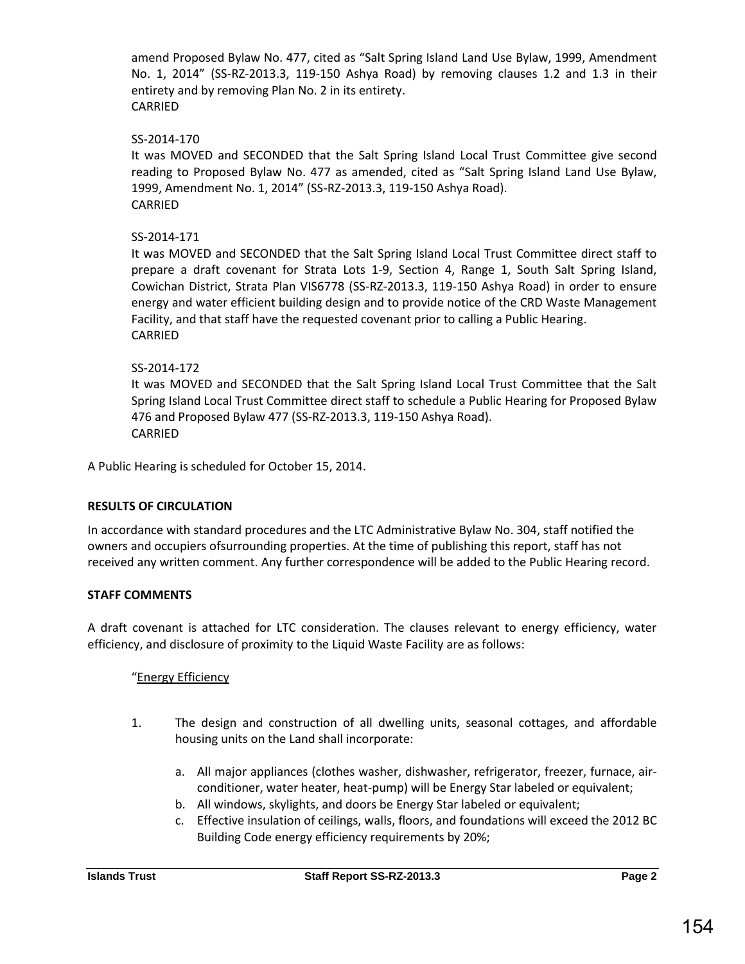amend Proposed Bylaw No. 477, cited as "Salt Spring Island Land Use Bylaw, 1999, Amendment No. 1, 2014" (SS‐RZ‐2013.3, 119‐150 Ashya Road) by removing clauses 1.2 and 1.3 in their entirety and by removing Plan No. 2 in its entirety. CARRIED

#### SS-2014-170

It was MOVED and SECONDED that the Salt Spring Island Local Trust Committee give second reading to Proposed Bylaw No. 477 as amended, cited as "Salt Spring Island Land Use Bylaw, 1999, Amendment No. 1, 2014" (SS‐RZ‐2013.3, 119‐150 Ashya Road). CARRIED

#### SS-2014-171

It was MOVED and SECONDED that the Salt Spring Island Local Trust Committee direct staff to prepare a draft covenant for Strata Lots 1‐9, Section 4, Range 1, South Salt Spring Island, Cowichan District, Strata Plan VIS6778 (SS‐RZ‐2013.3, 119‐150 Ashya Road) in order to ensure energy and water efficient building design and to provide notice of the CRD Waste Management Facility, and that staff have the requested covenant prior to calling a Public Hearing. CARRIED

#### SS-2014-172

It was MOVED and SECONDED that the Salt Spring Island Local Trust Committee that the Salt Spring Island Local Trust Committee direct staff to schedule a Public Hearing for Proposed Bylaw 476 and Proposed Bylaw 477 (SS‐RZ‐2013.3, 119‐150 Ashya Road). CARRIED

A Public Hearing is scheduled for October 15, 2014.

#### **RESULTS OF CIRCULATION**

In accordance with standard procedures and the LTC Administrative Bylaw No. 304, staff notified the owners and occupiers ofsurrounding properties. At the time of publishing this report, staff has not received any written comment. Any further correspondence will be added to the Public Hearing record.

#### **STAFF COMMENTS**

A draft covenant is attached for LTC consideration. The clauses relevant to energy efficiency, water efficiency, and disclosure of proximity to the Liquid Waste Facility are as follows:

#### "Energy Efficiency

- 1. The design and construction of all dwelling units, seasonal cottages, and affordable housing units on the Land shall incorporate:
	- a. All major appliances (clothes washer, dishwasher, refrigerator, freezer, furnace, airconditioner, water heater, heat-pump) will be Energy Star labeled or equivalent;
	- b. All windows, skylights, and doors be Energy Star labeled or equivalent;
	- c. Effective insulation of ceilings, walls, floors, and foundations will exceed the 2012 BC Building Code energy efficiency requirements by 20%;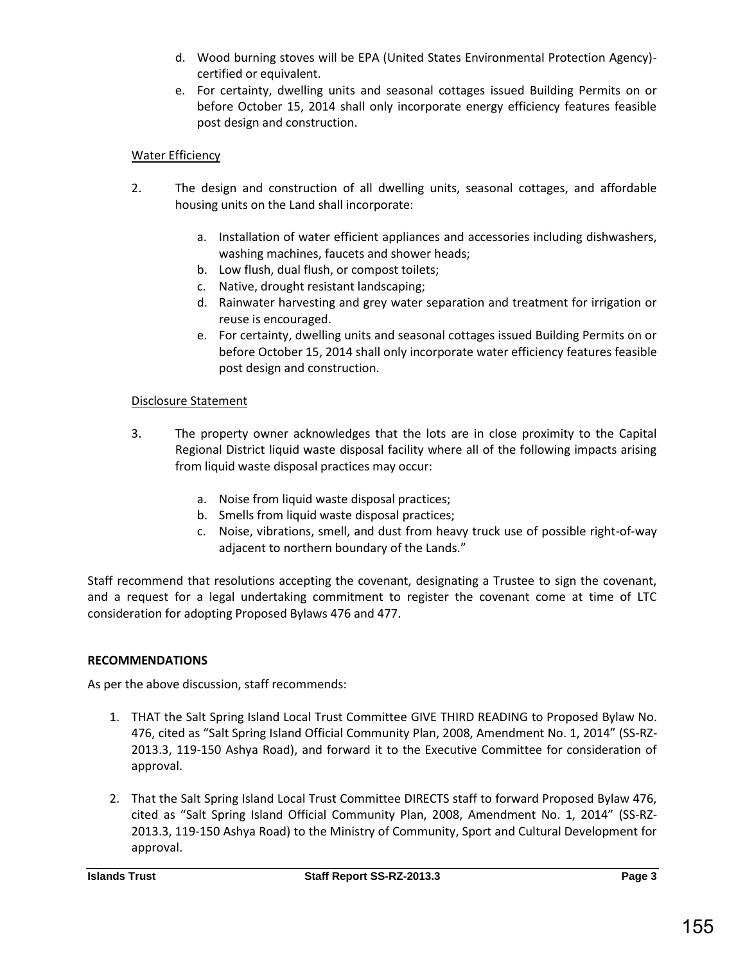- d. Wood burning stoves will be EPA (United States Environmental Protection Agency) certified or equivalent.
- e. For certainty, dwelling units and seasonal cottages issued Building Permits on or before October 15, 2014 shall only incorporate energy efficiency features feasible post design and construction.

#### Water Efficiency

- 2. The design and construction of all dwelling units, seasonal cottages, and affordable housing units on the Land shall incorporate:
	- a. Installation of water efficient appliances and accessories including dishwashers, washing machines, faucets and shower heads;
	- b. Low flush, dual flush, or compost toilets;
	- c. Native, drought resistant landscaping;
	- d. Rainwater harvesting and grey water separation and treatment for irrigation or reuse is encouraged.
	- e. For certainty, dwelling units and seasonal cottages issued Building Permits on or before October 15, 2014 shall only incorporate water efficiency features feasible post design and construction.

#### Disclosure Statement

- 3. The property owner acknowledges that the lots are in close proximity to the Capital Regional District liquid waste disposal facility where all of the following impacts arising from liquid waste disposal practices may occur:
	- a. Noise from liquid waste disposal practices;
	- b. Smells from liquid waste disposal practices;
	- c. Noise, vibrations, smell, and dust from heavy truck use of possible right-of-way adjacent to northern boundary of the Lands."

Staff recommend that resolutions accepting the covenant, designating a Trustee to sign the covenant, and a request for a legal undertaking commitment to register the covenant come at time of LTC consideration for adopting Proposed Bylaws 476 and 477.

#### **RECOMMENDATIONS**

As per the above discussion, staff recommends:

- 1. THAT the Salt Spring Island Local Trust Committee GIVE THIRD READING to Proposed Bylaw No. 476, cited as "Salt Spring Island Official Community Plan, 2008, Amendment No. 1, 2014" (SS-RZ-2013.3, 119-150 Ashya Road), and forward it to the Executive Committee for consideration of approval.
- 2. That the Salt Spring Island Local Trust Committee DIRECTS staff to forward Proposed Bylaw 476, cited as "Salt Spring Island Official Community Plan, 2008, Amendment No. 1, 2014" (SS-RZ-2013.3, 119-150 Ashya Road) to the Ministry of Community, Sport and Cultural Development for approval.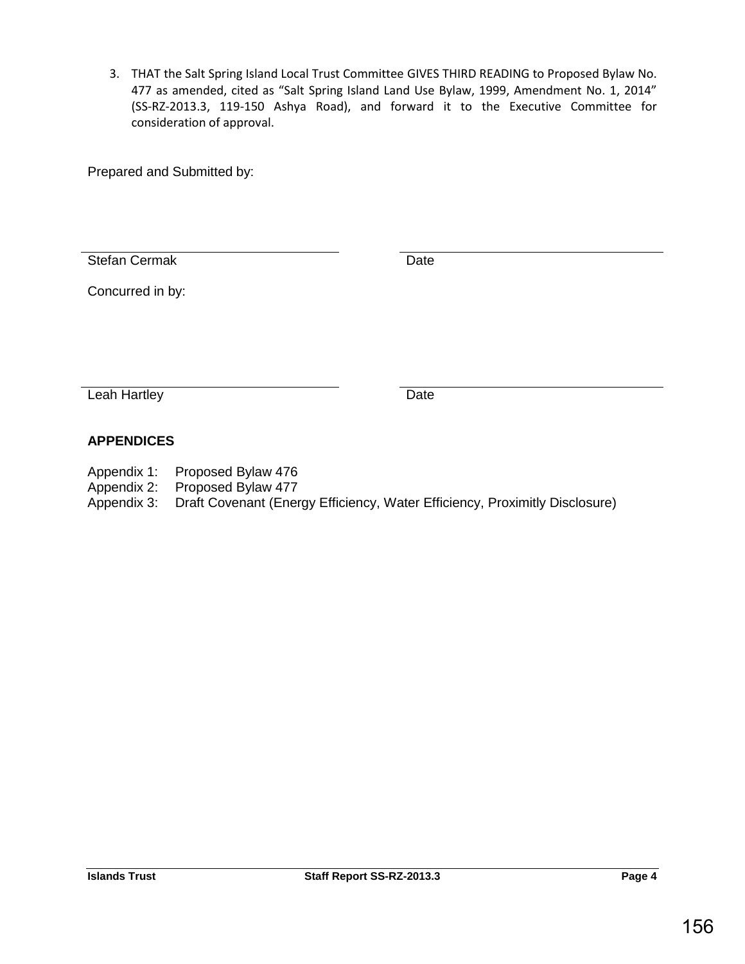3. THAT the Salt Spring Island Local Trust Committee GIVES THIRD READING to Proposed Bylaw No. 477 as amended, cited as "Salt Spring Island Land Use Bylaw, 1999, Amendment No. 1, 2014" (SS-RZ-2013.3, 119-150 Ashya Road), and forward it to the Executive Committee for consideration of approval.

Prepared and Submitted by:

Stefan Cermak Date

Concurred in by:

Leah Hartley Date

# **APPENDICES**

- Appendix 1: Proposed Bylaw 476
- Appendix 2: Proposed Bylaw 477
- Appendix 3: Draft Covenant (Energy Efficiency, Water Efficiency, Proximitly Disclosure)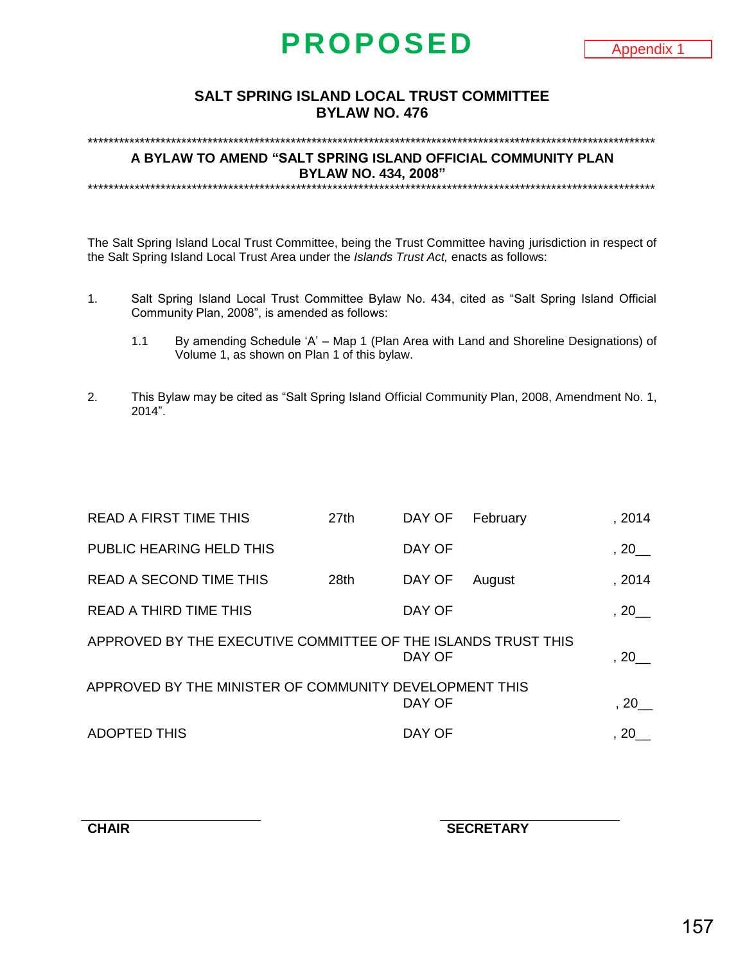# **PROPOSED**

#### **SALT SPRING ISLAND LOCAL TRUST COMMITTEE BYLAW NO. 476**

\*\*\*\*\*\*\*\*\*\*\*\*\*\*\*\*\*\*\*\*\*\*\*\*\*\*\*\*\*\*\*\*\*\*\*\*\*\*\*\*\*\*\*\*\*\*\*\*\*\*\*\*\*\*\*\*\*\*\*\*\*\*\*\*\*\*\*\*\*\*\*\*\*\*\*\*\*\*\*\*\*\*\*\*\*\*\*\*\*\*\*\*\*\*\*\*\*\*\*\*\*\*\*\*\*\*\*\*\*

**A BYLAW TO AMEND "SALT SPRING ISLAND OFFICIAL COMMUNITY PLAN BYLAW NO. 434, 2008"** \*\*\*\*\*\*\*\*\*\*\*\*\*\*\*\*\*\*\*\*\*\*\*\*\*\*\*\*\*\*\*\*\*\*\*\*\*\*\*\*\*\*\*\*\*\*\*\*\*\*\*\*\*\*\*\*\*\*\*\*\*\*\*\*\*\*\*\*\*\*\*\*\*\*\*\*\*\*\*\*\*\*\*\*\*\*\*\*\*\*\*\*\*\*\*\*\*\*\*\*\*\*\*\*\*\*\*\*\*

The Salt Spring Island Local Trust Committee, being the Trust Committee having jurisdiction in respect of the Salt Spring Island Local Trust Area under the *Islands Trust Act,* enacts as follows:

- 1. Salt Spring Island Local Trust Committee Bylaw No. 434, cited as "Salt Spring Island Official Community Plan, 2008", is amended as follows:
	- 1.1 By amending Schedule 'A' Map 1 (Plan Area with Land and Shoreline Designations) of Volume 1, as shown on Plan 1 of this bylaw.
- 2. This Bylaw may be cited as "Salt Spring Island Official Community Plan, 2008, Amendment No. 1, 2014".

| <b>READ A FIRST TIME THIS</b>                                 | 27 <sub>th</sub> | DAY OF | February | , 2014                |
|---------------------------------------------------------------|------------------|--------|----------|-----------------------|
| PUBLIC HEARING HELD THIS                                      |                  | DAY OF |          | $, 20$ <sub>—</sub>   |
| <b>READ A SECOND TIME THIS</b>                                | 28th             | DAY OF | August   | , 2014                |
| <b>READ A THIRD TIME THIS</b>                                 |                  | DAY OF |          | $, 20$ <sub>—</sub>   |
| APPROVED BY THE EXECUTIVE COMMITTEE OF THE ISLANDS TRUST THIS |                  | DAY OF |          | $, 20$ <sub>___</sub> |
| APPROVED BY THE MINISTER OF COMMUNITY DEVELOPMENT THIS        |                  | DAY OF |          |                       |
| <b>ADOPTED THIS</b>                                           |                  | DAY OF |          | 20                    |

**CHAIR SECRETARY**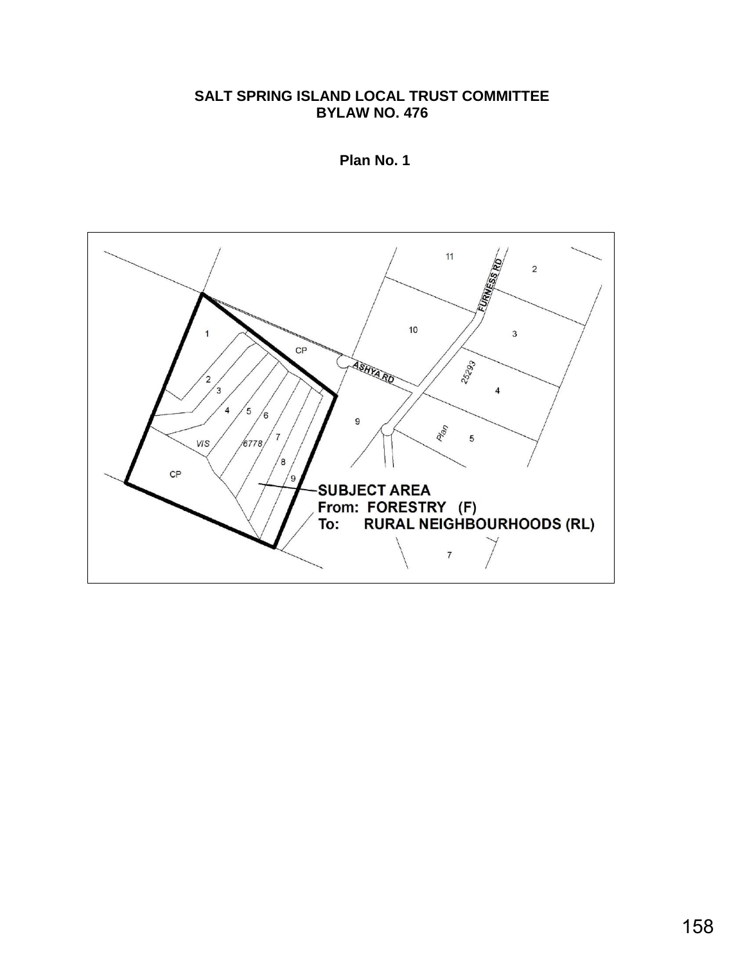# **SALT SPRING ISLAND LOCAL TRUST COMMITTEE BYLAW NO. 476**



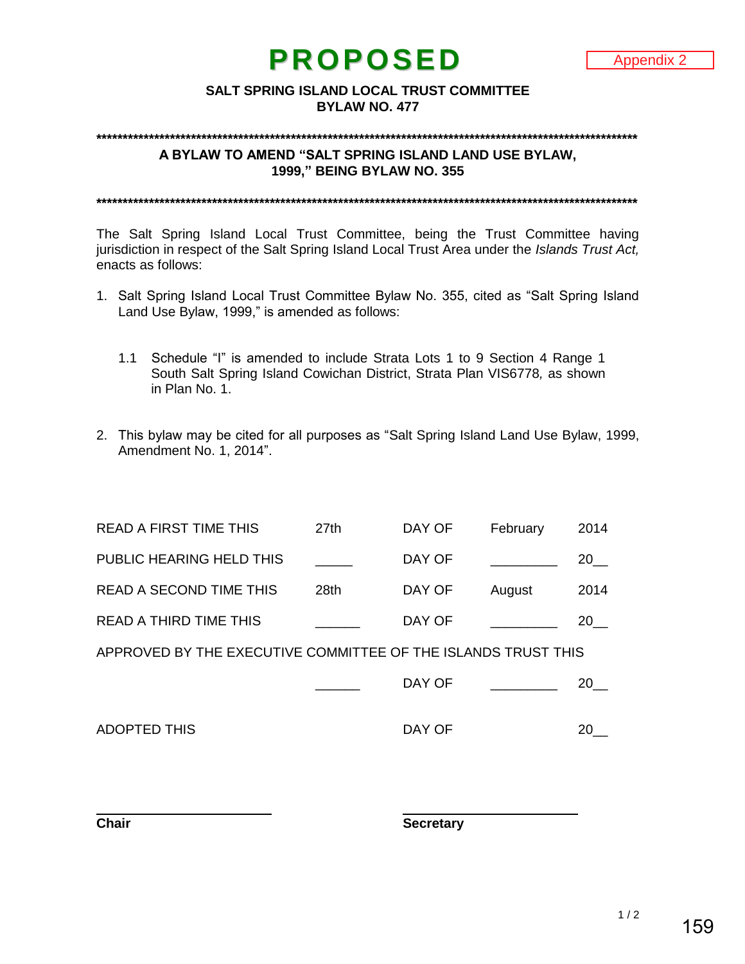# **PROPOSED**

#### **SALT SPRING ISLAND LOCAL TRUST COMMITTEE BYLAW NO. 477**

#### **\*\*\*\*\*\*\*\*\*\*\*\*\*\*\*\*\*\*\*\*\*\*\*\*\*\*\*\*\*\*\*\*\*\*\*\*\*\*\*\*\*\*\*\*\*\*\*\*\*\*\*\*\*\*\*\*\*\*\*\*\*\*\*\*\*\*\*\*\*\*\*\*\*\*\*\*\*\*\*\*\*\*\*\*\*\*\*\*\*\*\*\*\*\*\*\*\*\*\*\*\*\*\***

**A BYLAW TO AMEND "SALT SPRING ISLAND LAND USE BYLAW, 1999," BEING BYLAW NO. 355**

**\*\*\*\*\*\*\*\*\*\*\*\*\*\*\*\*\*\*\*\*\*\*\*\*\*\*\*\*\*\*\*\*\*\*\*\*\*\*\*\*\*\*\*\*\*\*\*\*\*\*\*\*\*\*\*\*\*\*\*\*\*\*\*\*\*\*\*\*\*\*\*\*\*\*\*\*\*\*\*\*\*\*\*\*\*\*\*\*\*\*\*\*\*\*\*\*\*\*\*\*\*\*\***

The Salt Spring Island Local Trust Committee, being the Trust Committee having jurisdiction in respect of the Salt Spring Island Local Trust Area under the *Islands Trust Act,*  enacts as follows:

- 1. Salt Spring Island Local Trust Committee Bylaw No. 355, cited as "Salt Spring Island Land Use Bylaw, 1999," is amended as follows:
	- 1.1 Schedule "I" is amended to include Strata Lots 1 to 9 Section 4 Range 1 South Salt Spring Island Cowichan District, Strata Plan VIS6778*,* as shown in Plan No. 1.
- 2. This bylaw may be cited for all purposes as "Salt Spring Island Land Use Bylaw, 1999, Amendment No. 1, 2014".

| <b>READ A FIRST TIME THIS</b>  | 27th             | DAY OF | February | 2014 |
|--------------------------------|------------------|--------|----------|------|
| PUBLIC HEARING HELD THIS       |                  | DAY OF |          | 20 a |
| <b>READ A SECOND TIME THIS</b> | 28 <sub>th</sub> | DAY OF | August   | 2014 |
| <b>READ A THIRD TIME THIS</b>  |                  | DAY OF |          | 20.  |
|                                |                  |        |          |      |

APPROVED BY THE EXECUTIVE COMMITTEE OF THE ISLANDS TRUST THIS

| DAY OF |  |
|--------|--|
|        |  |

ADOPTED THIS ADOPTED THIS AND THIS AND THIS AREA OF THIS AND THIS AREA OF THIS AREA OF THIS AREA OF THIS AREA O

**Chair Secretary**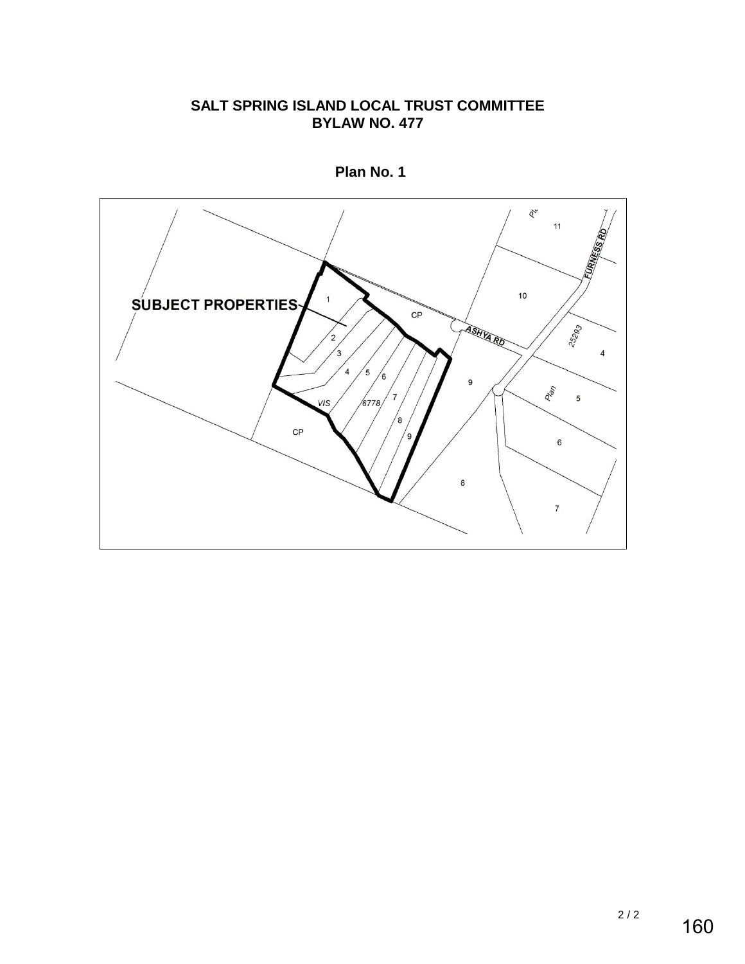# **SALT SPRING ISLAND LOCAL TRUST COMMITTEE BYLAW NO. 477**



**Plan No. 1**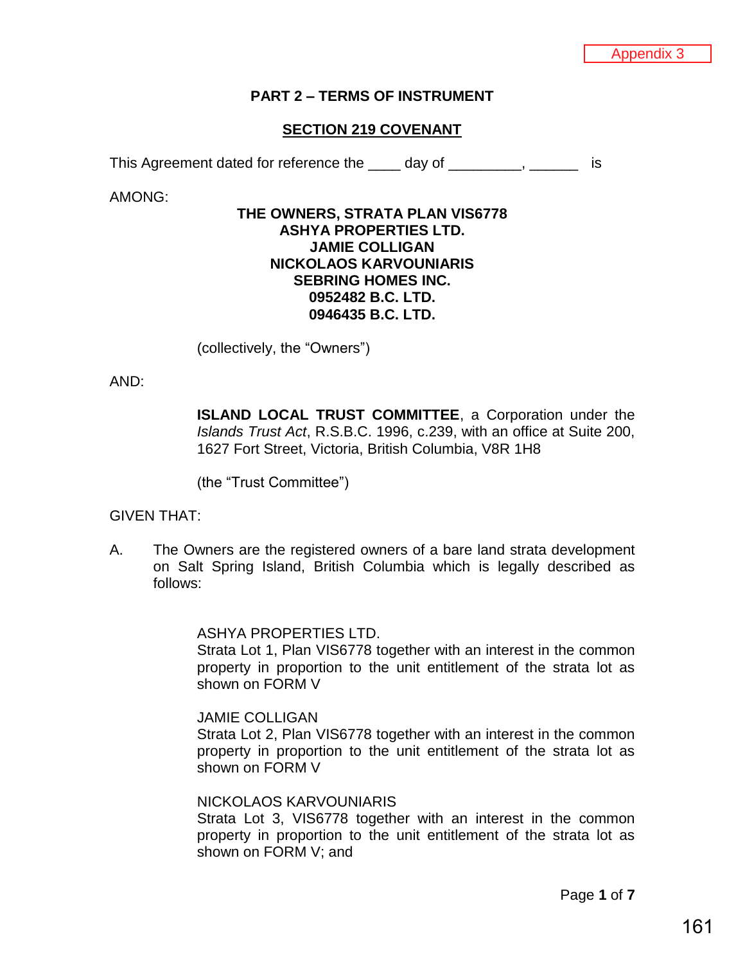#### **PART 2 – TERMS OF INSTRUMENT**

### **SECTION 219 COVENANT**

This Agreement dated for reference the day of the contract the state of the state of the state of the state of

AMONG:

#### **THE OWNERS, STRATA PLAN VIS6778 ASHYA PROPERTIES LTD. JAMIE COLLIGAN NICKOLAOS KARVOUNIARIS SEBRING HOMES INC. 0952482 B.C. LTD. 0946435 B.C. LTD.**

(collectively, the "Owners")

AND:

**ISLAND LOCAL TRUST COMMITTEE, a Corporation under the** *Islands Trust Act*, R.S.B.C. 1996, c.239, with an office at Suite 200, 1627 Fort Street, Victoria, British Columbia, V8R 1H8

(the "Trust Committee")

#### GIVEN THAT:

A. The Owners are the registered owners of a bare land strata development on Salt Spring Island, British Columbia which is legally described as follows:

ASHYA PROPERTIES LTD.

Strata Lot 1, Plan VIS6778 together with an interest in the common property in proportion to the unit entitlement of the strata lot as shown on FORM V

#### JAMIE COLLIGAN

Strata Lot 2, Plan VIS6778 together with an interest in the common property in proportion to the unit entitlement of the strata lot as shown on FORM V

#### NICKOLAOS KARVOUNIARIS

Strata Lot 3, VIS6778 together with an interest in the common property in proportion to the unit entitlement of the strata lot as shown on FORM V; and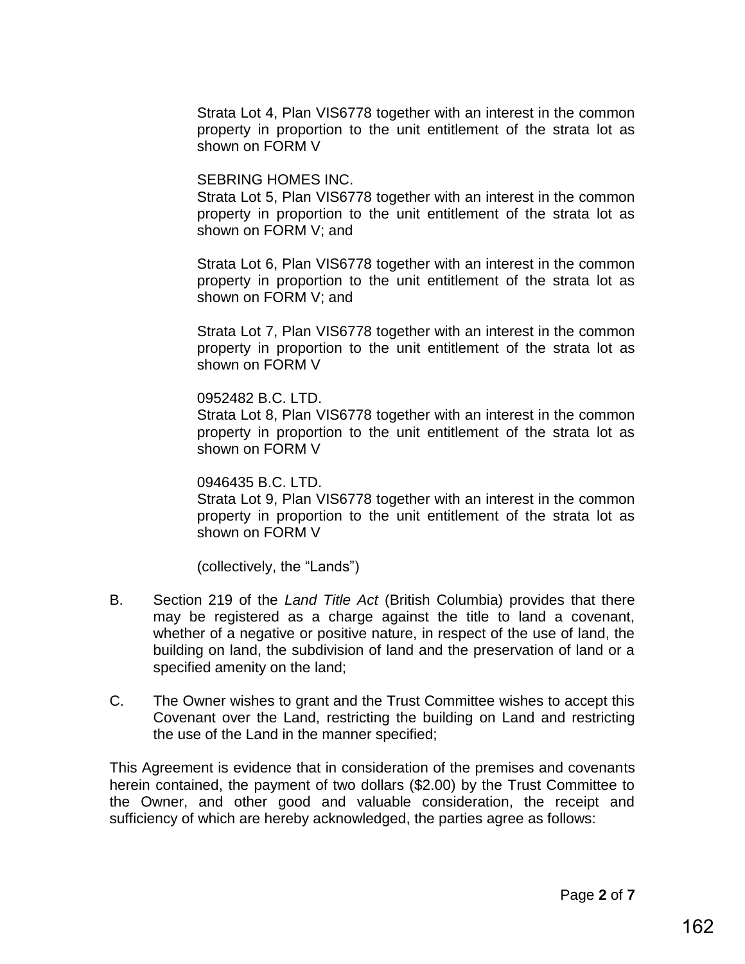Strata Lot 4, Plan VIS6778 together with an interest in the common property in proportion to the unit entitlement of the strata lot as shown on FORM V

# SEBRING HOMES INC.

Strata Lot 5, Plan VIS6778 together with an interest in the common property in proportion to the unit entitlement of the strata lot as shown on FORM V; and

Strata Lot 6, Plan VIS6778 together with an interest in the common property in proportion to the unit entitlement of the strata lot as shown on FORM V; and

Strata Lot 7, Plan VIS6778 together with an interest in the common property in proportion to the unit entitlement of the strata lot as shown on FORM V

#### 0952482 B.C. LTD.

Strata Lot 8, Plan VIS6778 together with an interest in the common property in proportion to the unit entitlement of the strata lot as shown on FORM V

# 0946435 B.C. LTD.

Strata Lot 9, Plan VIS6778 together with an interest in the common property in proportion to the unit entitlement of the strata lot as shown on FORM V

(collectively, the "Lands")

- B. Section 219 of the *Land Title Act* (British Columbia) provides that there may be registered as a charge against the title to land a covenant, whether of a negative or positive nature, in respect of the use of land, the building on land, the subdivision of land and the preservation of land or a specified amenity on the land;
- C. The Owner wishes to grant and the Trust Committee wishes to accept this Covenant over the Land, restricting the building on Land and restricting the use of the Land in the manner specified;

This Agreement is evidence that in consideration of the premises and covenants herein contained, the payment of two dollars (\$2.00) by the Trust Committee to the Owner, and other good and valuable consideration, the receipt and sufficiency of which are hereby acknowledged, the parties agree as follows: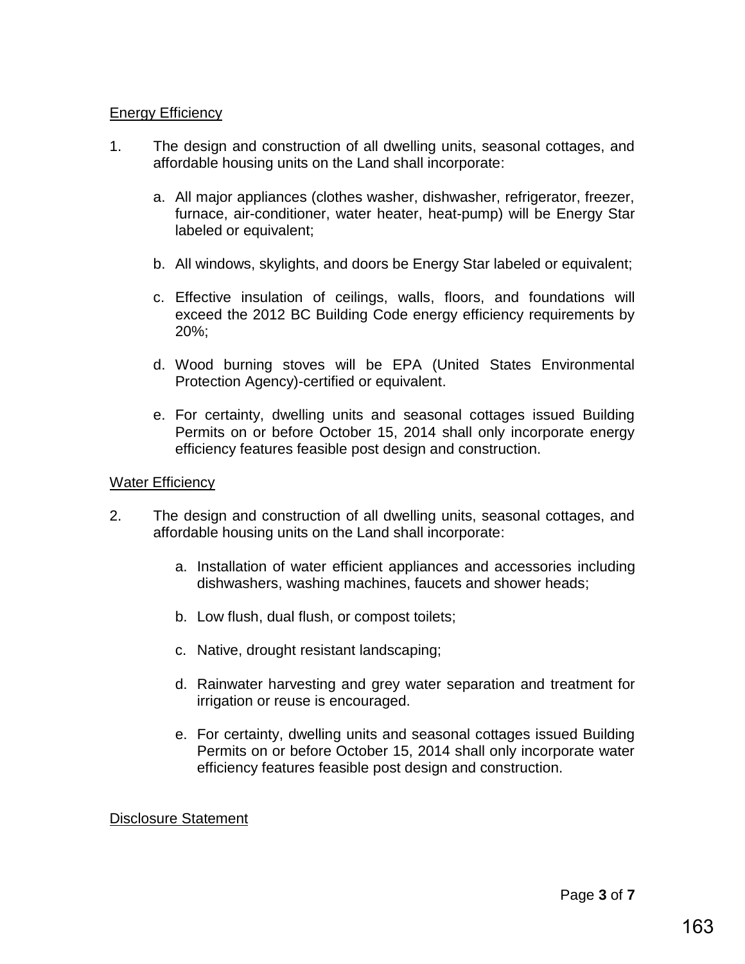# **Energy Efficiency**

- 1. The design and construction of all dwelling units, seasonal cottages, and affordable housing units on the Land shall incorporate:
	- a. All major appliances (clothes washer, dishwasher, refrigerator, freezer, furnace, air-conditioner, water heater, heat-pump) will be Energy Star labeled or equivalent;
	- b. All windows, skylights, and doors be Energy Star labeled or equivalent;
	- c. Effective insulation of ceilings, walls, floors, and foundations will exceed the 2012 BC Building Code energy efficiency requirements by 20%;
	- d. Wood burning stoves will be EPA (United States Environmental Protection Agency)-certified or equivalent.
	- e. For certainty, dwelling units and seasonal cottages issued Building Permits on or before October 15, 2014 shall only incorporate energy efficiency features feasible post design and construction.

# Water Efficiency

- 2. The design and construction of all dwelling units, seasonal cottages, and affordable housing units on the Land shall incorporate:
	- a. Installation of water efficient appliances and accessories including dishwashers, washing machines, faucets and shower heads;
	- b. Low flush, dual flush, or compost toilets;
	- c. Native, drought resistant landscaping;
	- d. Rainwater harvesting and grey water separation and treatment for irrigation or reuse is encouraged.
	- e. For certainty, dwelling units and seasonal cottages issued Building Permits on or before October 15, 2014 shall only incorporate water efficiency features feasible post design and construction.

# Disclosure Statement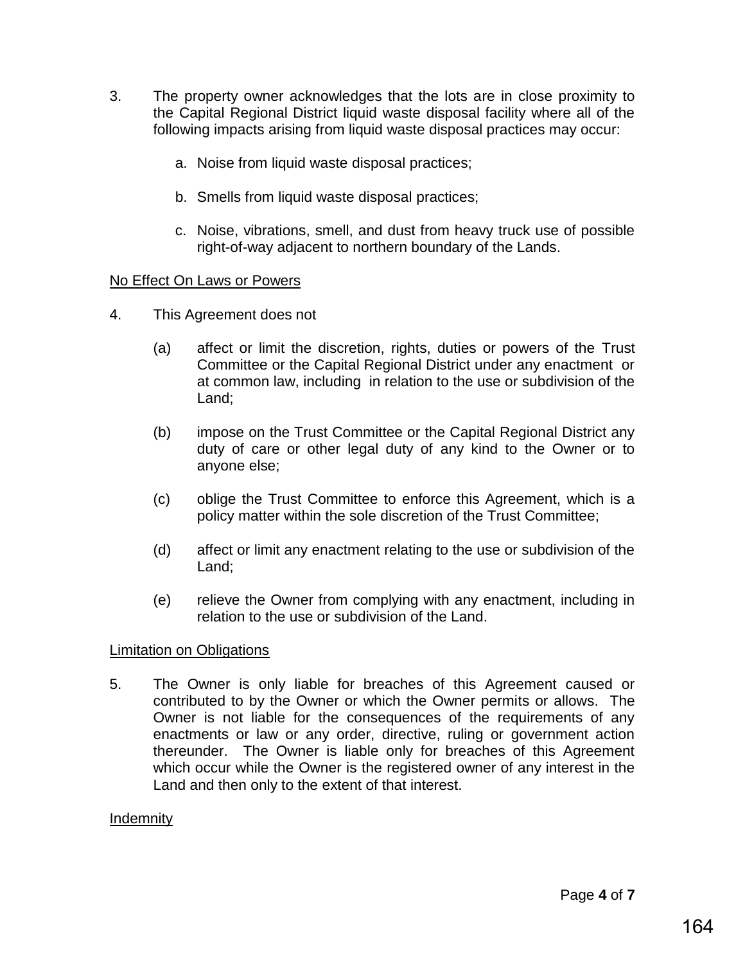- 3. The property owner acknowledges that the lots are in close proximity to the Capital Regional District liquid waste disposal facility where all of the following impacts arising from liquid waste disposal practices may occur:
	- a. Noise from liquid waste disposal practices;
	- b. Smells from liquid waste disposal practices;
	- c. Noise, vibrations, smell, and dust from heavy truck use of possible right-of-way adjacent to northern boundary of the Lands.

# No Effect On Laws or Powers

- 4. This Agreement does not
	- (a) affect or limit the discretion, rights, duties or powers of the Trust Committee or the Capital Regional District under any enactment or at common law, including in relation to the use or subdivision of the Land;
	- (b) impose on the Trust Committee or the Capital Regional District any duty of care or other legal duty of any kind to the Owner or to anyone else;
	- (c) oblige the Trust Committee to enforce this Agreement, which is a policy matter within the sole discretion of the Trust Committee;
	- (d) affect or limit any enactment relating to the use or subdivision of the Land;
	- (e) relieve the Owner from complying with any enactment, including in relation to the use or subdivision of the Land.

# Limitation on Obligations

5. The Owner is only liable for breaches of this Agreement caused or contributed to by the Owner or which the Owner permits or allows. The Owner is not liable for the consequences of the requirements of any enactments or law or any order, directive, ruling or government action thereunder. The Owner is liable only for breaches of this Agreement which occur while the Owner is the registered owner of any interest in the Land and then only to the extent of that interest.

# Indemnity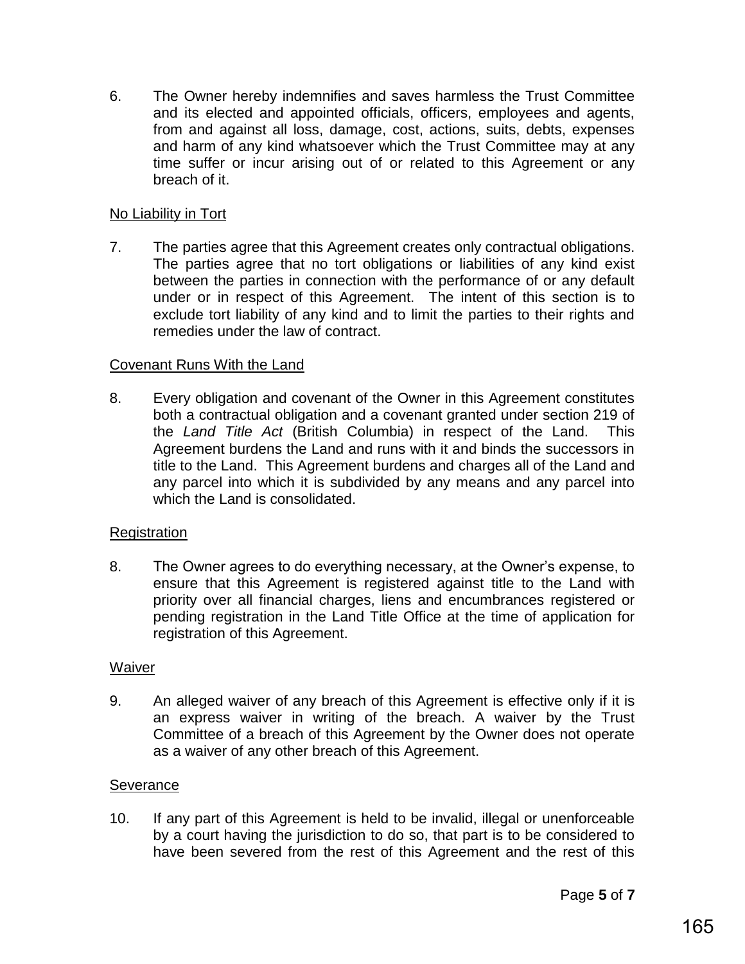6. The Owner hereby indemnifies and saves harmless the Trust Committee and its elected and appointed officials, officers, employees and agents, from and against all loss, damage, cost, actions, suits, debts, expenses and harm of any kind whatsoever which the Trust Committee may at any time suffer or incur arising out of or related to this Agreement or any breach of it.

# No Liability in Tort

7. The parties agree that this Agreement creates only contractual obligations. The parties agree that no tort obligations or liabilities of any kind exist between the parties in connection with the performance of or any default under or in respect of this Agreement. The intent of this section is to exclude tort liability of any kind and to limit the parties to their rights and remedies under the law of contract.

# Covenant Runs With the Land

8. Every obligation and covenant of the Owner in this Agreement constitutes both a contractual obligation and a covenant granted under section 219 of the *Land Title Act* (British Columbia) in respect of the Land. This Agreement burdens the Land and runs with it and binds the successors in title to the Land. This Agreement burdens and charges all of the Land and any parcel into which it is subdivided by any means and any parcel into which the Land is consolidated.

# Registration

8. The Owner agrees to do everything necessary, at the Owner's expense, to ensure that this Agreement is registered against title to the Land with priority over all financial charges, liens and encumbrances registered or pending registration in the Land Title Office at the time of application for registration of this Agreement.

# Waiver

9. An alleged waiver of any breach of this Agreement is effective only if it is an express waiver in writing of the breach. A waiver by the Trust Committee of a breach of this Agreement by the Owner does not operate as a waiver of any other breach of this Agreement.

# **Severance**

10. If any part of this Agreement is held to be invalid, illegal or unenforceable by a court having the jurisdiction to do so, that part is to be considered to have been severed from the rest of this Agreement and the rest of this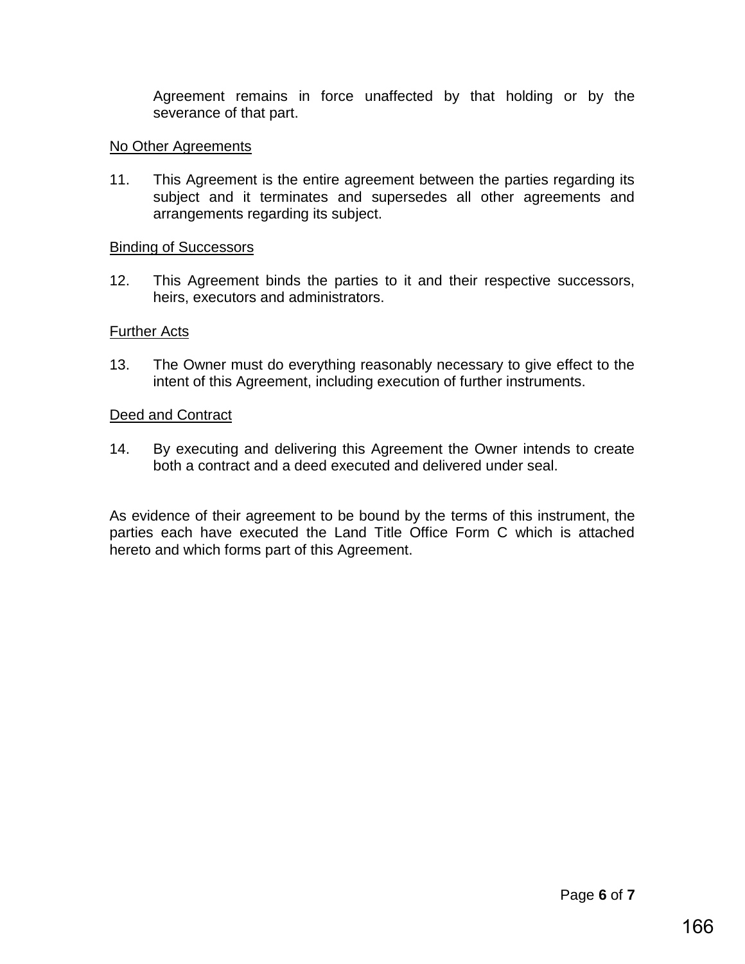Agreement remains in force unaffected by that holding or by the severance of that part.

# No Other Agreements

11. This Agreement is the entire agreement between the parties regarding its subject and it terminates and supersedes all other agreements and arrangements regarding its subject.

# Binding of Successors

12. This Agreement binds the parties to it and their respective successors, heirs, executors and administrators.

# Further Acts

13. The Owner must do everything reasonably necessary to give effect to the intent of this Agreement, including execution of further instruments.

# Deed and Contract

14. By executing and delivering this Agreement the Owner intends to create both a contract and a deed executed and delivered under seal.

As evidence of their agreement to be bound by the terms of this instrument, the parties each have executed the Land Title Office Form C which is attached hereto and which forms part of this Agreement.